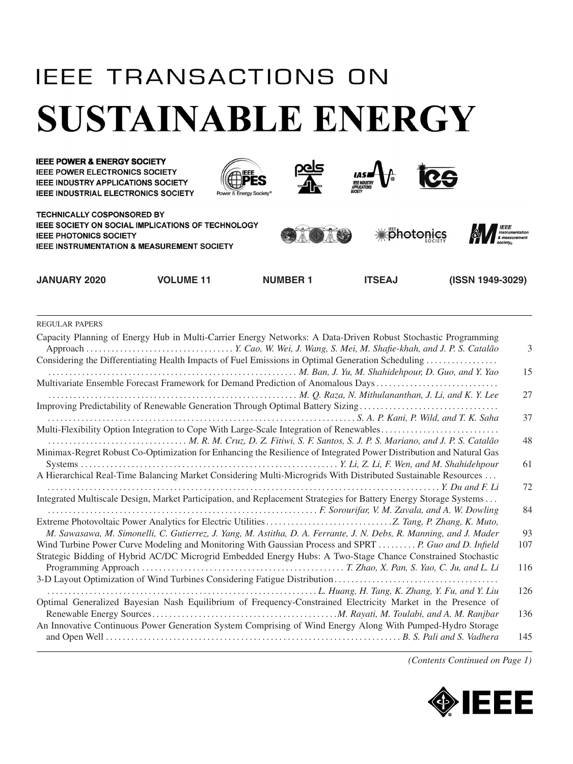## **IEEE TRANSACTIONS ON SUSTAINABLE ENERGY**



REGULAR PAPERS

| Capacity Planning of Energy Hub in Multi-Carrier Energy Networks: A Data-Driven Robust Stochastic Programming                                                                                                                | 3         |
|------------------------------------------------------------------------------------------------------------------------------------------------------------------------------------------------------------------------------|-----------|
| Considering the Differentiating Health Impacts of Fuel Emissions in Optimal Generation Scheduling<br>M. Ban, J. Yu, M. Shahidehpour, D. Guo, and Y. Yao                                                                      | 15        |
| Multivariate Ensemble Forecast Framework for Demand Prediction of Anomalous Days                                                                                                                                             | 27        |
| Improving Predictability of Renewable Generation Through Optimal Battery Sizing                                                                                                                                              |           |
| Multi-Flexibility Option Integration to Cope With Large-Scale Integration of Renewables                                                                                                                                      | 37        |
|                                                                                                                                                                                                                              | 48        |
| Minimax-Regret Robust Co-Optimization for Enhancing the Resilience of Integrated Power Distribution and Natural Gas                                                                                                          | 61        |
| A Hierarchical Real-Time Balancing Market Considering Multi-Microgrids With Distributed Sustainable Resources                                                                                                                |           |
|                                                                                                                                                                                                                              | 72        |
| Integrated Multiscale Design, Market Participation, and Replacement Strategies for Battery Energy Storage Systems                                                                                                            | 84        |
|                                                                                                                                                                                                                              |           |
| M. Sawasawa, M. Simonelli, C. Gutierrez, J. Yang, M. Astitha, D. A. Ferrante, J. N. Debs, R. Manning, and J. Mader<br>Wind Turbine Power Curve Modeling and Monitoring With Gaussian Process and SPRT  P. Guo and D. Infield | 93<br>107 |
| Strategic Bidding of Hybrid AC/DC Microgrid Embedded Energy Hubs: A Two-Stage Chance Constrained Stochastic                                                                                                                  |           |
|                                                                                                                                                                                                                              | 116       |
|                                                                                                                                                                                                                              | 126       |
| Optimal Generalized Bayesian Nash Equilibrium of Frequency-Constrained Electricity Market in the Presence of                                                                                                                 |           |
| An Innovative Continuous Power Generation System Comprising of Wind Energy Along With Pumped-Hydro Storage                                                                                                                   | 136       |
|                                                                                                                                                                                                                              | 145       |
|                                                                                                                                                                                                                              |           |

*(Contents Continued on Page 1)*

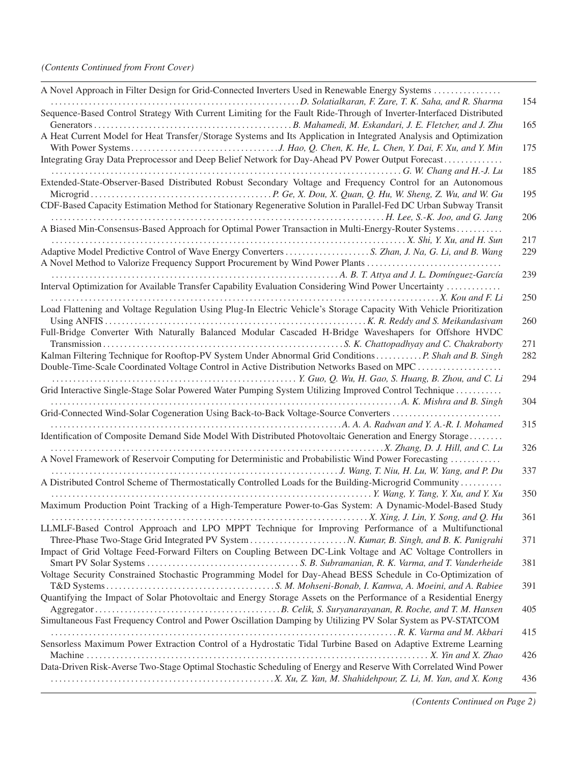| A Novel Approach in Filter Design for Grid-Connected Inverters Used in Renewable Energy Systems                      |     |
|----------------------------------------------------------------------------------------------------------------------|-----|
|                                                                                                                      | 154 |
| Sequence-Based Control Strategy With Current Limiting for the Fault Ride-Through of Inverter-Interfaced Distributed  |     |
|                                                                                                                      | 165 |
| A Heat Current Model for Heat Transfer/Storage Systems and Its Application in Integrated Analysis and Optimization   |     |
|                                                                                                                      | 175 |
| Integrating Gray Data Preprocessor and Deep Belief Network for Day-Ahead PV Power Output Forecast                    |     |
|                                                                                                                      | 185 |
| Extended-State-Observer-Based Distributed Robust Secondary Voltage and Frequency Control for an Autonomous           |     |
| CDF-Based Capacity Estimation Method for Stationary Regenerative Solution in Parallel-Fed DC Urban Subway Transit    | 195 |
|                                                                                                                      | 206 |
| A Biased Min-Consensus-Based Approach for Optimal Power Transaction in Multi-Energy-Router Systems                   |     |
|                                                                                                                      | 217 |
|                                                                                                                      | 229 |
| A Novel Method to Valorize Frequency Support Procurement by Wind Power Plants                                        |     |
|                                                                                                                      | 239 |
| Interval Optimization for Available Transfer Capability Evaluation Considering Wind Power Uncertainty                |     |
|                                                                                                                      | 250 |
| Load Flattening and Voltage Regulation Using Plug-In Electric Vehicle's Storage Capacity With Vehicle Prioritization |     |
|                                                                                                                      | 260 |
| Full-Bridge Converter With Naturally Balanced Modular Cascaded H-Bridge Waveshapers for Offshore HVDC                |     |
|                                                                                                                      | 271 |
| Kalman Filtering Technique for Rooftop-PV System Under Abnormal Grid Conditions  P. Shah and B. Singh                | 282 |
| Double-Time-Scale Coordinated Voltage Control in Active Distribution Networks Based on MPC                           |     |
|                                                                                                                      | 294 |
| Grid Interactive Single-Stage Solar Powered Water Pumping System Utilizing Improved Control Technique                |     |
|                                                                                                                      | 304 |
| Grid-Connected Wind-Solar Cogeneration Using Back-to-Back Voltage-Source Converters                                  |     |
|                                                                                                                      | 315 |
| Identification of Composite Demand Side Model With Distributed Photovoltaic Generation and Energy Storage            |     |
|                                                                                                                      | 326 |
| A Novel Framework of Reservoir Computing for Deterministic and Probabilistic Wind Power Forecasting                  |     |
|                                                                                                                      | 337 |
| A Distributed Control Scheme of Thermostatically Controlled Loads for the Building-Microgrid Community               |     |
|                                                                                                                      | 350 |
| Maximum Production Point Tracking of a High-Temperature Power-to-Gas System: A Dynamic-Model-Based Study             | 361 |
|                                                                                                                      |     |
| LLMLF-Based Control Approach and LPO MPPT Technique for Improving Performance of a Multifunctional                   | 371 |
| Impact of Grid Voltage Feed-Forward Filters on Coupling Between DC-Link Voltage and AC Voltage Controllers in        |     |
|                                                                                                                      | 381 |
| Voltage Security Constrained Stochastic Programming Model for Day-Ahead BESS Schedule in Co-Optimization of          |     |
|                                                                                                                      | 391 |
| Quantifying the Impact of Solar Photovoltaic and Energy Storage Assets on the Performance of a Residential Energy    |     |
|                                                                                                                      | 405 |
| Simultaneous Fast Frequency Control and Power Oscillation Damping by Utilizing PV Solar System as PV-STATCOM         |     |
|                                                                                                                      | 415 |
| Sensorless Maximum Power Extraction Control of a Hydrostatic Tidal Turbine Based on Adaptive Extreme Learning        |     |
|                                                                                                                      | 426 |
| Data-Driven Risk-Averse Two-Stage Optimal Stochastic Scheduling of Energy and Reserve With Correlated Wind Power     |     |
|                                                                                                                      | 436 |
|                                                                                                                      |     |

*(Contents Continued on Page 2)*